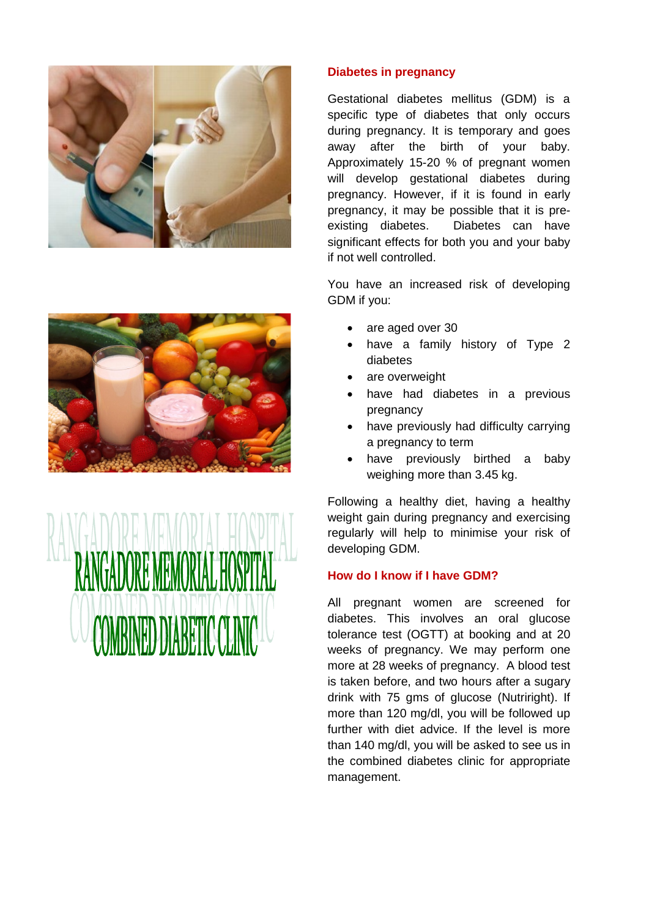





### **Diabetes in pregnancy**

Gestational diabetes mellitus (GDM) is a specific type of diabetes that only occurs during pregnancy. It is temporary and goes away after the birth of your baby. Approximately 15-20 % of pregnant women will develop gestational diabetes during pregnancy. However, if it is found in early pregnancy, it may be possible that it is preexisting diabetes. Diabetes can have significant effects for both you and your baby if not well controlled.

You have an increased risk of developing GDM if you:

- are aged over 30
- have a family history of Type 2 diabetes
- are overweight
- have had diabetes in a previous pregnancy
- have previously had difficulty carrying a pregnancy to term
- have previously birthed a baby weighing more than 3.45 kg.

Following a healthy diet, having a healthy weight gain during pregnancy and exercising regularly will help to minimise your risk of developing GDM.

## **How do I know if I have GDM?**

All pregnant women are screened for diabetes. This involves an oral glucose tolerance test (OGTT) at booking and at 20 weeks of pregnancy. We may perform one more at 28 weeks of pregnancy. A blood test is taken before, and two hours after a sugary drink with 75 gms of glucose (Nutriright). If more than 120 mg/dl, you will be followed up further with diet advice. If the level is more than 140 mg/dl, you will be asked to see us in the combined diabetes clinic for appropriate management.